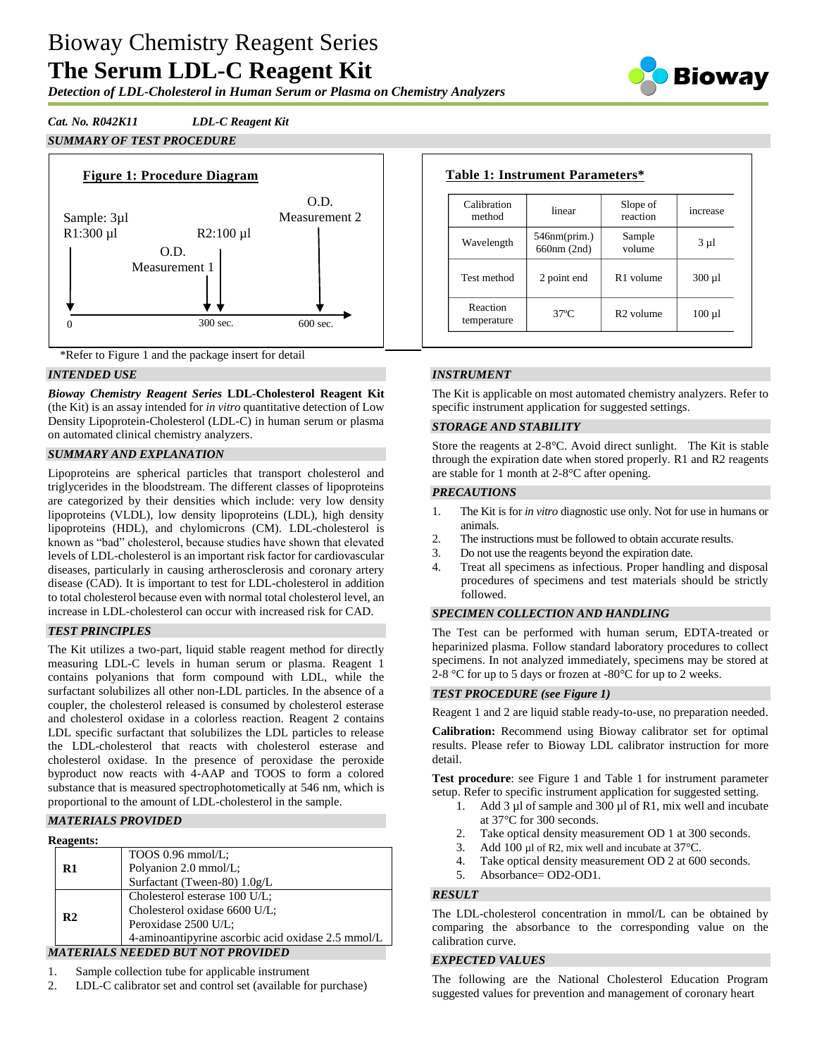# Bioway Chemistry Reagent Series **The Serum LDL-C Reagent Kit**

*Detection of LDL-Cholesterol in Human Serum or Plasma on Chemistry Analyzers*

Bioway

### *Cat. No. R042K11 LDL-C Reagent Kit*

#### *SUMMARY OF TEST PROCEDURE*



\*Refer to Figure 1 and the package insert for detail

#### *INTENDED USE*

*Bioway Chemistry Reagent Series* **LDL-Cholesterol Reagent Kit**  (the Kit) is an assay intended for *in vitro* quantitative detection of Low Density Lipoprotein-Cholesterol (LDL-C) in human serum or plasma on automated clinical chemistry analyzers.

#### *SUMMARY AND EXPLANATION*

Lipoproteins are spherical particles that transport cholesterol and triglycerides in the bloodstream. The different classes of lipoproteins are categorized by their densities which include: very low density lipoproteins (VLDL), low density lipoproteins (LDL), high density lipoproteins (HDL), and chylomicrons (CM). LDL-cholesterol is known as "bad" cholesterol, because studies have shown that elevated levels of LDL-cholesterol is an important risk factor for cardiovascular diseases, particularly in causing artherosclerosis and coronary artery disease (CAD). It is important to test for LDL-cholesterol in addition to total cholesterol because even with normal total cholesterol level, an increase in LDL-cholesterol can occur with increased risk for CAD.

#### *TEST PRINCIPLES*

The Kit utilizes a two-part, liquid stable reagent method for directly measuring LDL-C levels in human serum or plasma. Reagent 1 contains polyanions that form compound with LDL, while the surfactant solubilizes all other non-LDL particles. In the absence of a coupler, the cholesterol released is consumed by cholesterol esterase and cholesterol oxidase in a colorless reaction. Reagent 2 contains LDL specific surfactant that solubilizes the LDL particles to release the LDL-cholesterol that reacts with cholesterol esterase and cholesterol oxidase. In the presence of peroxidase the peroxide byproduct now reacts with 4-AAP and TOOS to form a colored substance that is measured spectrophotometically at 546 nm, which is proportional to the amount of LDL-cholesterol in the sample.

#### *MATERIALS PROVIDED*

| <b>Reagents:</b> |
|------------------|
|------------------|

| псагения.      |                                                    |
|----------------|----------------------------------------------------|
|                | TOOS $0.96$ mmol/L;                                |
| $\mathbf{R}1$  | Polyanion 2.0 mmol/L;                              |
|                | Surfactant (Tween-80) 1.0g/L                       |
|                | Cholesterol esterase 100 U/L;                      |
| R <sub>2</sub> | Cholesterol oxidase 6600 U/L;                      |
|                | Peroxidase 2500 U/L;                               |
|                | 4-aminoantipyrine ascorbic acid oxidase 2.5 mmol/L |
|                | MATERIALS NEEDED BUT NOT PROVIDED                  |

- 1. Sample collection tube for applicable instrument
- 2. LDL-C calibrator set and control set (available for purchase)

## **Table 1: Instrument Parameters\***

| Calibration<br>method   | linear                      | Slope of<br>reaction  | increase    |
|-------------------------|-----------------------------|-----------------------|-------------|
| Wavelength              | 546nm(prim.)<br>660nm (2nd) | Sample<br>volume      | $3 \mu l$   |
| Test method             | 2 point end                 | R <sub>1</sub> volume | $300 \mu l$ |
| Reaction<br>temperature | $37^\circ$ C                | R <sub>2</sub> volume | $100 \mu l$ |

#### *INSTRUMENT*

The Kit is applicable on most automated chemistry analyzers. Refer to specific instrument application for suggested settings.

#### *STORAGE AND STABILITY*

Store the reagents at 2-8°C. Avoid direct sunlight. The Kit is stable through the expiration date when stored properly. R1 and R2 reagents are stable for 1 month at 2-8°C after opening.

#### *PRECAUTIONS*

- 1. The Kit is for *in vitro* diagnostic use only. Not for use in humans or animals.
- 2. The instructions must be followed to obtain accurate results.
- 3. Do not use the reagents beyond the expiration date.
- 4. Treat all specimens as infectious. Proper handling and disposal procedures of specimens and test materials should be strictly followed.

#### *SPECIMEN COLLECTION AND HANDLING*

The Test can be performed with human serum, EDTA-treated or heparinized plasma. Follow standard laboratory procedures to collect specimens. In not analyzed immediately, specimens may be stored at 2-8 °C for up to 5 days or frozen at -80°C for up to 2 weeks.

#### *TEST PROCEDURE (see Figure 1)*

Reagent 1 and 2 are liquid stable ready-to-use, no preparation needed.

**Calibration:** Recommend using Bioway calibrator set for optimal results. Please refer to Bioway LDL calibrator instruction for more detail.

**Test procedure**: see Figure 1 and Table 1 for instrument parameter setup. Refer to specific instrument application for suggested setting.

- 1. Add 3 µl of sample and 300 µl of R1, mix well and incubate at 37°C for 300 seconds.
- 2. Take optical density measurement OD 1 at 300 seconds.
- 3. Add 100 µl of R2, mix well and incubate at 37 °C.
- 4. Take optical density measurement OD 2 at 600 seconds.
- 5. Absorbance= OD2-OD1.

#### *RESULT*

The LDL-cholesterol concentration in mmol/L can be obtained by comparing the absorbance to the corresponding value on the calibration curve.

#### *EXPECTED VALUES*

The following are the National Cholesterol Education Program suggested values for prevention and management of coronary heart